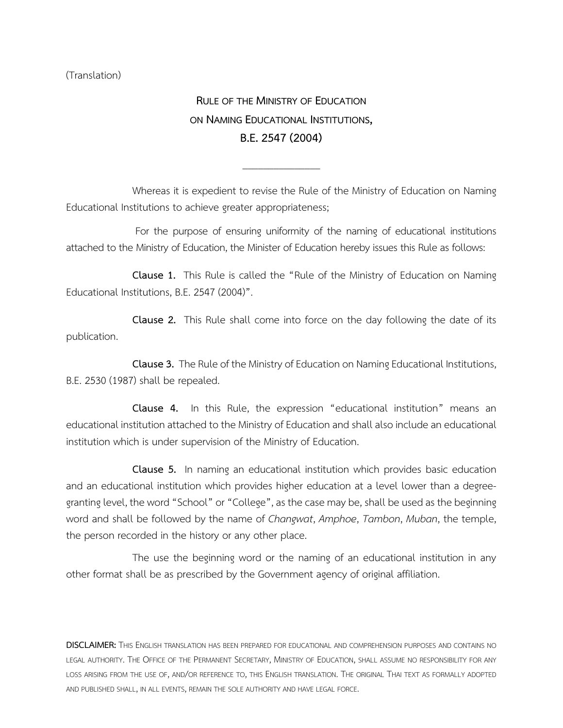(Translation)

**RULE OF THE MINISTRY OF EDUCATION ON NAMING EDUCATIONAL INSTITUTIONS, B.E.2547(2004)**

Whereas it is expedient to revise the Rule of the Ministry of Education on Naming Educational Institutions to achieve greater appropriateness;

\_\_\_\_\_\_\_\_\_\_\_\_\_\_\_

For the purpose of ensuring uniformity of the naming of educational institutions attached to the Ministry of Education, the Minister of Education hereby issues this Rule as follows:

**Clause 1.** This Rule is called the "Rule of the Ministry of Education on Naming Educational Institutions, B.E. 2547 (2004)".

**Clause 2.** This Rule shall come into force on the day following the date of its publication.

**Clause 3.** The Rule of the Ministry of Education on Naming Educational Institutions, B.E. 2530 (1987) shall be repealed.

**Clause 4.** In this Rule, the expression "educational institution" means an educational institution attached to the Ministry of Educationand shall also include an educational institution which is under supervision of the Ministry of Education.

**Clause 5.** In naming an educational institution which provides basic education and an educational institution which provides higher education at a level lower than a degreegranting level, the word "School" or "College", as the case may be, shall be used as the beginning word and shall be followed by the name of *Changwat*, *Amphoe*, *Tambon*, *Muban*, the temple, the person recorded in the history or any other place.

The use the beginning word or the naming of an educational institution in any other format shall be as prescribed by the Government agency of original affiliation.

**DISCLAIMER:** THIS ENGLISH TRANSLATION HAS BEEN PREPARED FOR EDUCATIONAL AND COMPREHENSION PURPOSES AND CONTAINS NO LEGAL AUTHORITY. THE OFFICE OF THE PERMANENT SECRETARY, MINISTRY OF EDUCATION, SHALL ASSUME NO RESPONSIBILITY FOR ANY LOSS ARISING FROM THE USE OF, AND/OR REFERENCE TO, THIS ENGLISH TRANSLATION. THE ORIGINAL THAI TEXT AS FORMALLY ADOPTED AND PUBLISHED SHALL, IN ALL EVENTS, REMAIN THE SOLE AUTHORITY AND HAVE LEGAL FORCE.